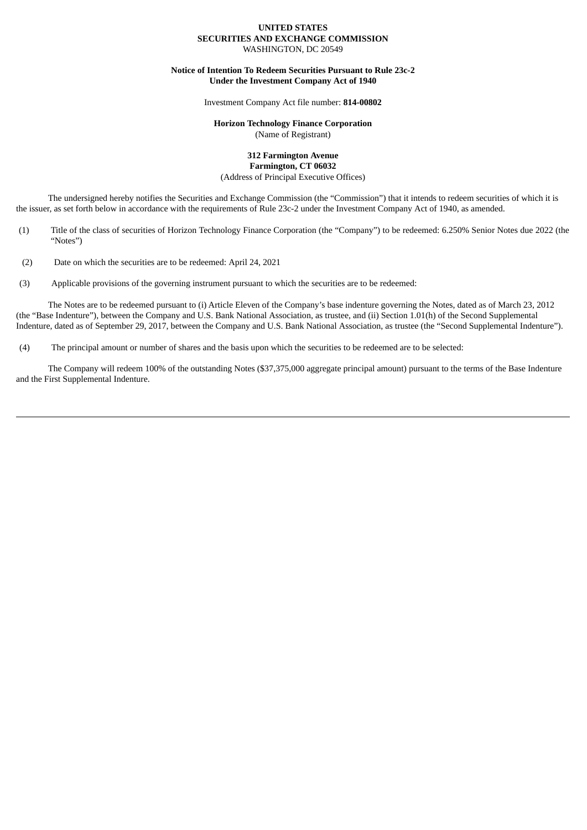#### **UNITED STATES SECURITIES AND EXCHANGE COMMISSION** WASHINGTON, DC 20549

**Notice of Intention To Redeem Securities Pursuant to Rule 23c-2 Under the Investment Company Act of 1940**

Investment Company Act file number: **814-00802**

### **Horizon Technology Finance Corporation** (Name of Registrant)

#### **312 Farmington Avenue Farmington, CT 06032**

(Address of Principal Executive Offices)

The undersigned hereby notifies the Securities and Exchange Commission (the "Commission") that it intends to redeem securities of which it is the issuer, as set forth below in accordance with the requirements of Rule 23c-2 under the Investment Company Act of 1940, as amended.

- (1) Title of the class of securities of Horizon Technology Finance Corporation (the "Company") to be redeemed: 6.250% Senior Notes due 2022 (the "Notes")
- (2) Date on which the securities are to be redeemed: April 24, 2021
- (3) Applicable provisions of the governing instrument pursuant to which the securities are to be redeemed:

The Notes are to be redeemed pursuant to (i) Article Eleven of the Company's base indenture governing the Notes, dated as of March 23, 2012 (the "Base Indenture"), between the Company and U.S. Bank National Association, as trustee, and (ii) Section 1.01(h) of the Second Supplemental Indenture, dated as of September 29, 2017, between the Company and U.S. Bank National Association, as trustee (the "Second Supplemental Indenture").

(4) The principal amount or number of shares and the basis upon which the securities to be redeemed are to be selected:

The Company will redeem 100% of the outstanding Notes (\$37,375,000 aggregate principal amount) pursuant to the terms of the Base Indenture and the First Supplemental Indenture.